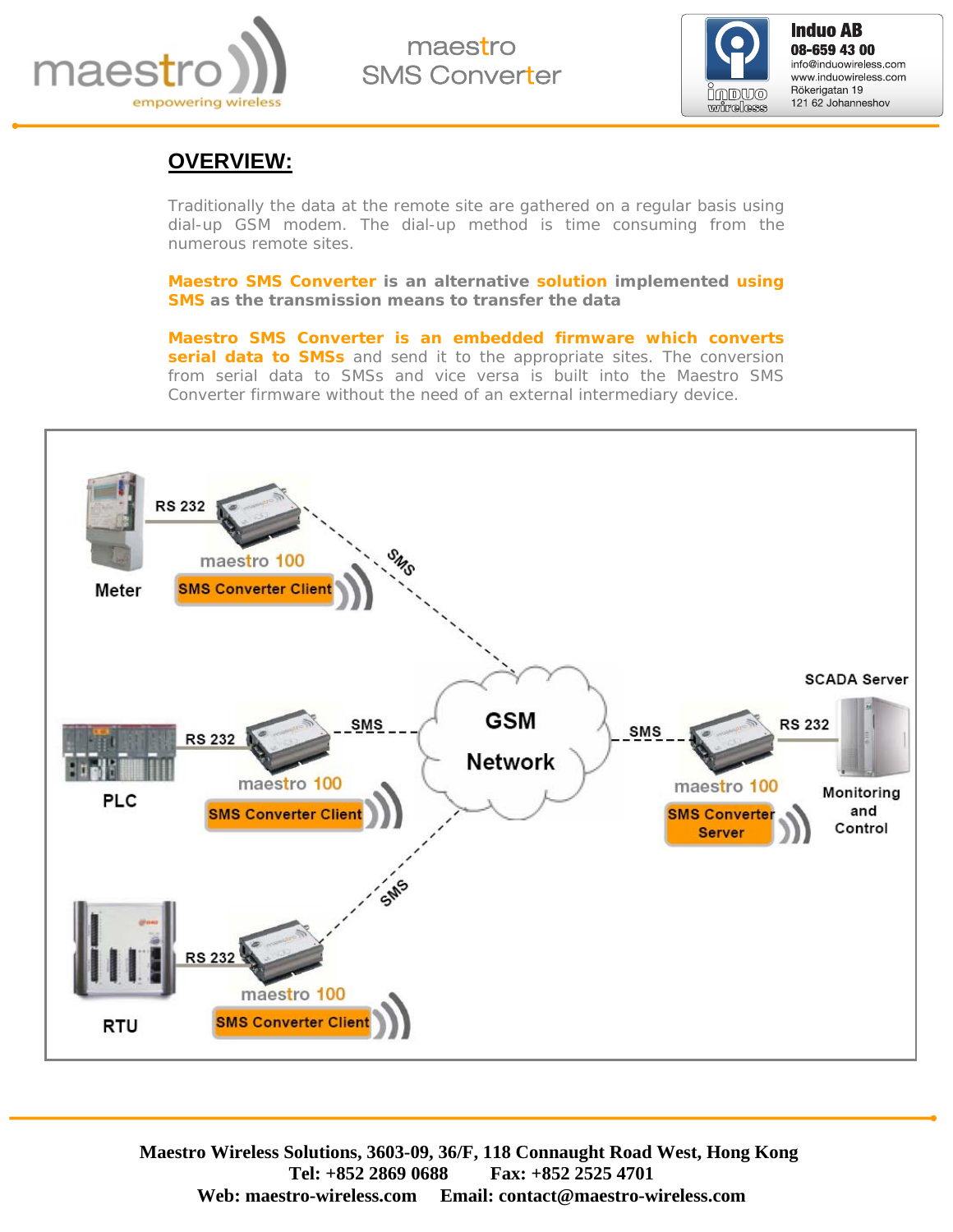

maestro SMS Converter



**Induo AB**<br>08-659 43 00 info@induowireless.com www.induowireless.com Rökerigatan 19 121 62 Johanneshov

#### **OVERVIEW:**

Traditionally the data at the remote site are gathered on a regular basis using dial-up GSM modem. The dial-up method is time consuming from the numerous remote sites.

**Maestro SMS Converter is an alternative solution implemented using SMS as the transmission means to transfer the data** 

**Maestro SMS Converter is an embedded firmware which converts serial data to SMSs** and send it to the appropriate sites. The conversion from serial data to SMSs and vice versa is built into the Maestro SMS Converter firmware without the need of an external intermediary device.

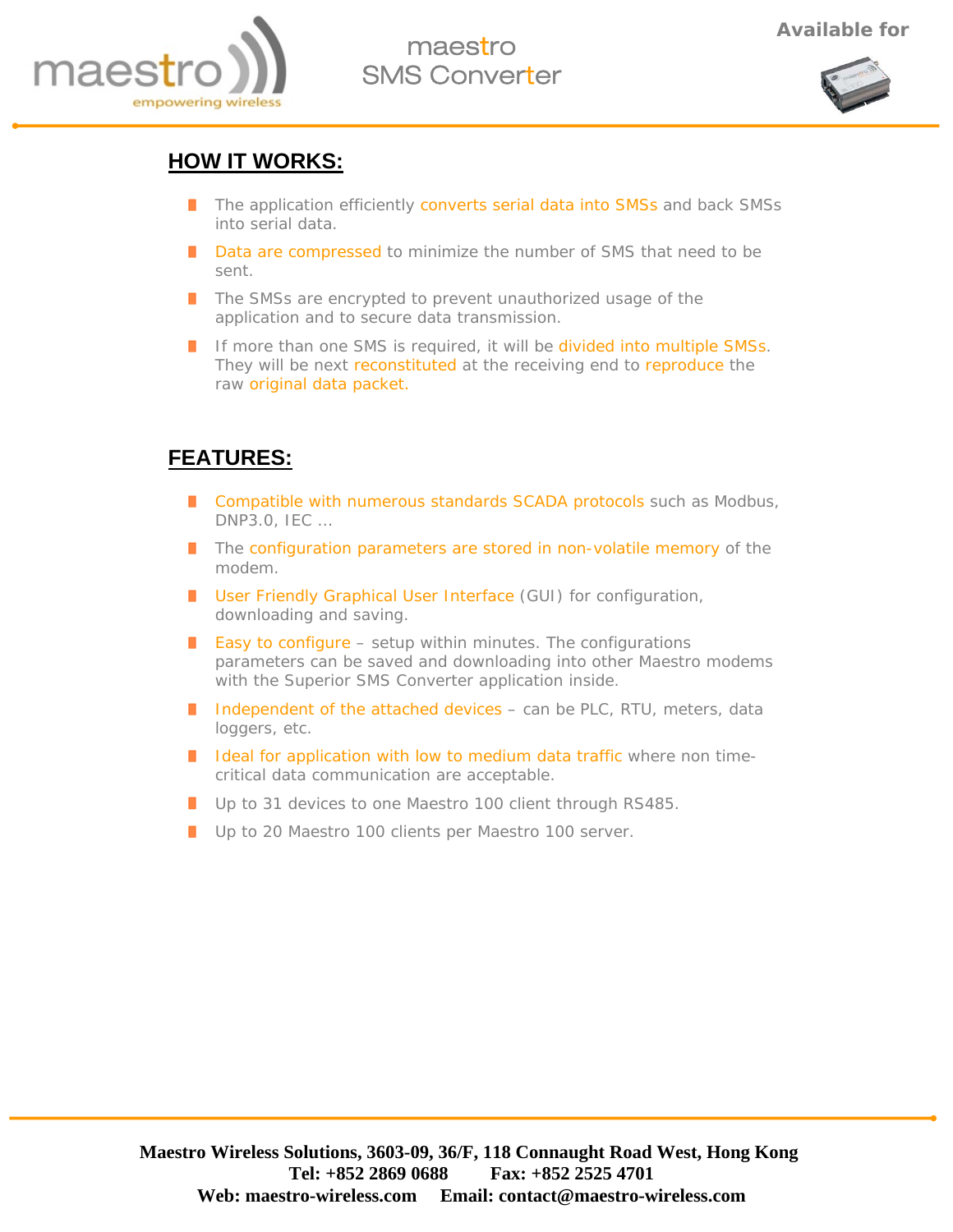

# maesti SMS Converter



#### **HOW IT WORKS:**

- The application efficiently converts serial data into SMSs and back SMSs into serial data.
- Data are compressed to minimize the number of SMS that need to be sent.
- The SMSs are encrypted to prevent unauthorized usage of the application and to secure data transmission.
- If more than one SMS is required, it will be divided into multiple SMSs. They will be next reconstituted at the receiving end to reproduce the raw original data packet.

#### **FEATURES:**

- **Compatible with numerous standards SCADA protocols such as Modbus,** DNP3.0, IEC …
- **T** The configuration parameters are stored in non-volatile memory of the modem.
- **User Friendly Graphical User Interface (GUI) for configuration,** downloading and saving.
- **Easy to configure** setup within minutes. The configurations parameters can be saved and downloading into other Maestro modems with the Superior SMS Converter application inside.
- I Independent of the attached devices can be PLC, RTU, meters, data loggers, etc.
- I Ideal for application with low to medium data traffic where non timecritical data communication are acceptable.
- Up to 31 devices to one Maestro 100 client through RS485.
- Up to 20 Maestro 100 clients per Maestro 100 server.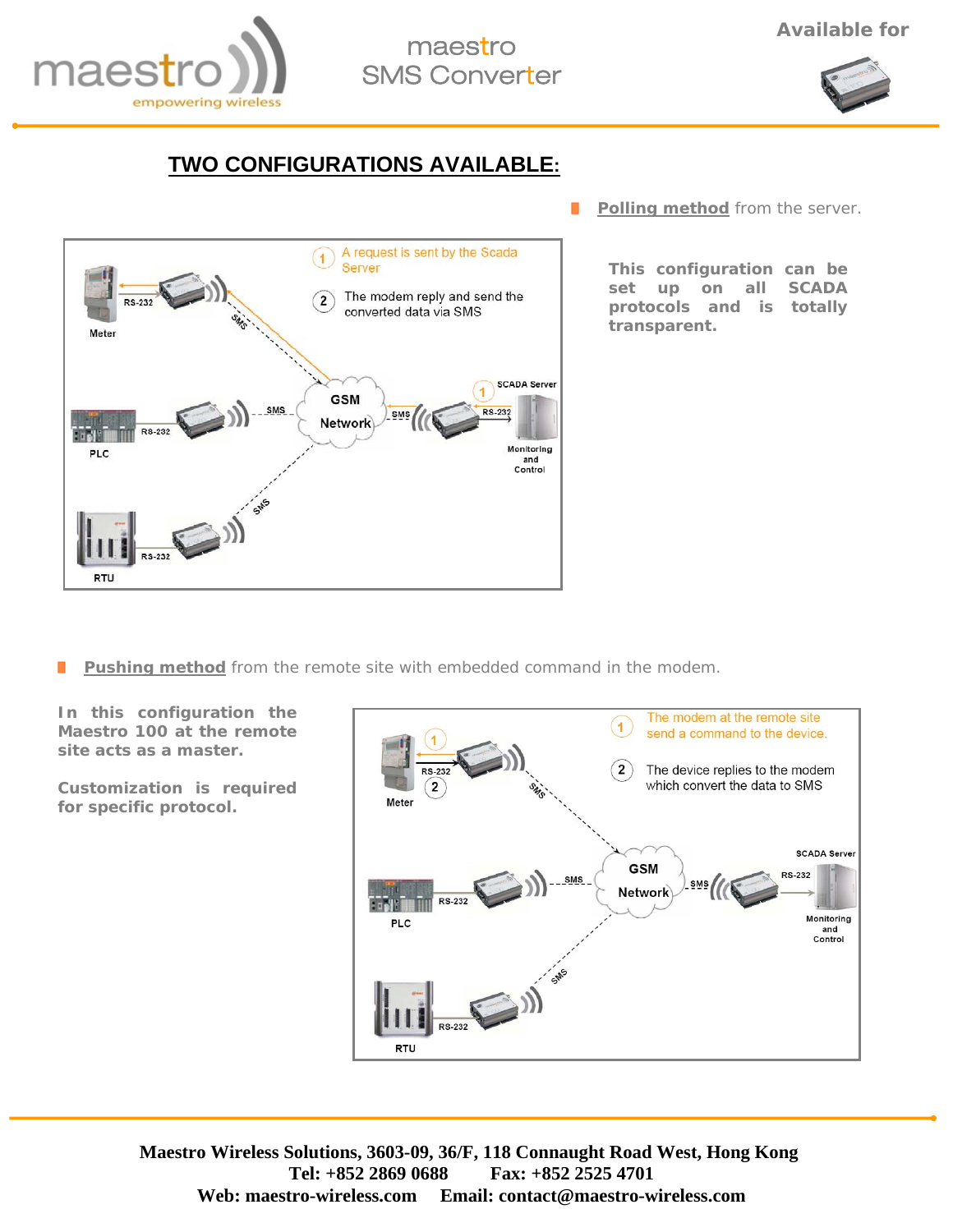

# maestro SMS Converter



### **TWO CONFIGURATIONS AVAILABLE:**



 $\blacksquare$ **Polling method** from the server.

> **This configuration can be set up on all SCADA protocols and is totally transparent.**

**Pushing method** from the remote site with embedded command in the modem. П

**In this configuration the Maestro 100 at the remote site acts as a master.** 

**Customization is required for specific protocol.**